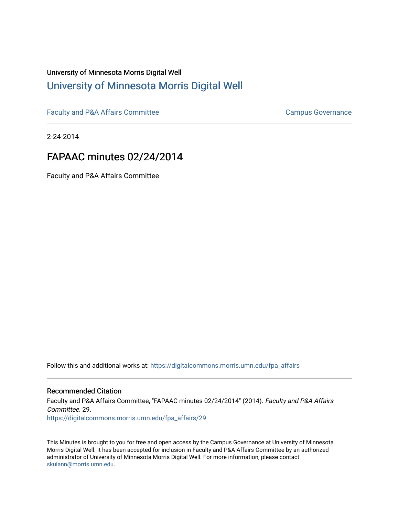# University of Minnesota Morris Digital Well [University of Minnesota Morris Digital Well](https://digitalcommons.morris.umn.edu/)

[Faculty and P&A Affairs Committee](https://digitalcommons.morris.umn.edu/fpa_affairs) [Campus Governance](https://digitalcommons.morris.umn.edu/campgov) Campus Governance

2-24-2014

## FAPAAC minutes 02/24/2014

Faculty and P&A Affairs Committee

Follow this and additional works at: [https://digitalcommons.morris.umn.edu/fpa\\_affairs](https://digitalcommons.morris.umn.edu/fpa_affairs?utm_source=digitalcommons.morris.umn.edu%2Ffpa_affairs%2F29&utm_medium=PDF&utm_campaign=PDFCoverPages)

### Recommended Citation

Faculty and P&A Affairs Committee, "FAPAAC minutes 02/24/2014" (2014). Faculty and P&A Affairs Committee. 29. [https://digitalcommons.morris.umn.edu/fpa\\_affairs/29](https://digitalcommons.morris.umn.edu/fpa_affairs/29?utm_source=digitalcommons.morris.umn.edu%2Ffpa_affairs%2F29&utm_medium=PDF&utm_campaign=PDFCoverPages) 

This Minutes is brought to you for free and open access by the Campus Governance at University of Minnesota Morris Digital Well. It has been accepted for inclusion in Faculty and P&A Affairs Committee by an authorized administrator of University of Minnesota Morris Digital Well. For more information, please contact [skulann@morris.umn.edu.](mailto:skulann@morris.umn.edu)